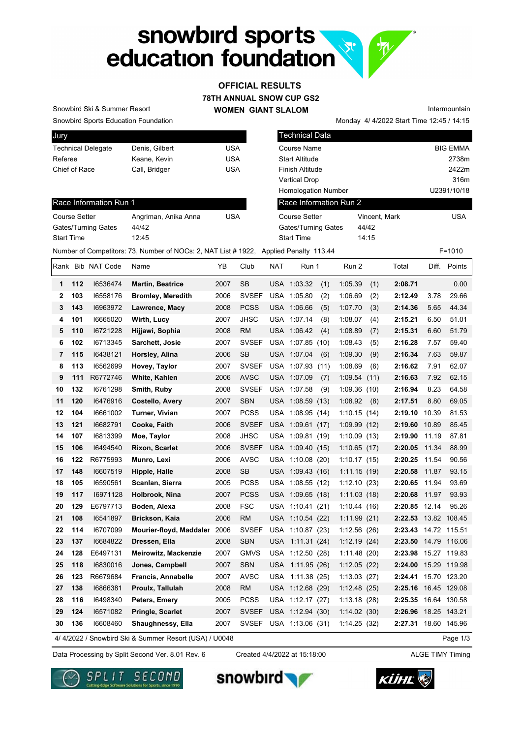# snowbird sports education foundation

## **OFFICIAL RESULTS**

**78TH ANNUAL SNOW CUP GS2**

**WOMEN GIANT SLALOM**

Snowbird Sports Education Foundation Snowbird Ski & Summer Resort

Race Information Run 1

Gates/Turning Gates 44/42 Start Time 12:45

| Jury                      |                |     |
|---------------------------|----------------|-----|
| <b>Technical Delegate</b> | Denis, Gilbert | USA |
| Referee                   | Keane, Kevin   | USA |
| Chief of Race             | Call, Bridger  | USA |
|                           |                |     |

Course Setter **Angriman, Anika Anna** USA

|                            | Monday 4/4/2022 Start Time 12:45 / 14:15 |                 |
|----------------------------|------------------------------------------|-----------------|
| <b>Technical Data</b>      |                                          |                 |
| Course Name                |                                          | <b>BIG EMMA</b> |
| <b>Start Altitude</b>      |                                          | 2738m           |
| <b>Finish Altitude</b>     |                                          | 2422m           |
| <b>Vertical Drop</b>       |                                          | 316m            |
| <b>Homologation Number</b> |                                          | U2391/10/18     |
| Race Information Run 2     |                                          |                 |
| Course Setter              | Vincent, Mark                            | USA             |
| <b>Gates/Turning Gates</b> | 44/42                                    |                 |
| <b>Start Time</b>          | 14:15                                    |                 |
| ed Penalty 113.44          |                                          | F=1010          |

Intermountain

|    |     |                   | Number of Competitors: 73, Number of NOCs: 2, NAT List # 1922,   Applied Penalty  113.44 |      |              |            |                    |             |     |                      |              | F=1010       |
|----|-----|-------------------|------------------------------------------------------------------------------------------|------|--------------|------------|--------------------|-------------|-----|----------------------|--------------|--------------|
|    |     | Rank Bib NAT Code | Name                                                                                     | YB   | Club         | <b>NAT</b> | Run 1              | Run 2       |     | Total                |              | Diff. Points |
| 1  | 112 | 16536474          | <b>Martin, Beatrice</b>                                                                  | 2007 | <b>SB</b>    |            | USA 1:03.32<br>(1) | 1:05.39     | (1) | 2:08.71              |              | 0.00         |
| 2  | 103 | 16558176          | <b>Bromley, Meredith</b>                                                                 | 2006 | <b>SVSEF</b> |            | USA 1:05.80<br>(2) | 1:06.69     | (2) | 2:12.49              | 3.78         | 29.66        |
| 3  | 143 | 16963972          | Lawrence, Macy                                                                           | 2008 | <b>PCSS</b>  |            | USA 1:06.66<br>(5) | 1:07.70     | (3) | 2:14.36              | 5.65         | 44.34        |
| 4  | 101 | 16665020          | Wirth, Lucy                                                                              | 2007 | <b>JHSC</b>  |            | USA 1:07.14<br>(8) | 1:08.07     | (4) | 2:15.21              | 6.50         | 51.01        |
| 5  | 110 | 16721228          | Hijjawi, Sophia                                                                          | 2008 | <b>RM</b>    |            | USA 1:06.42<br>(4) | 1:08.89     | (7) | 2:15.31              | 6.60         | 51.79        |
| 6  | 102 | 16713345          | Sarchett, Josie                                                                          | 2007 | <b>SVSEF</b> |            | USA 1:07.85 (10)   | 1:08.43     | (5) | 2:16.28              | 7.57         | 59.40        |
| 7  | 115 | 16438121          | Horsley, Alina                                                                           | 2006 | <b>SB</b>    |            | USA 1:07.04<br>(6) | 1:09.30     | (9) | 2:16.34              | 7.63         | 59.87        |
| 8  | 113 | 16562699          | Hovey, Taylor                                                                            | 2007 | <b>SVSEF</b> | <b>USA</b> | 1:07.93(11)        | 1:08.69     | (6) | 2:16.62              | 7.91         | 62.07        |
| 9  | 111 | R6772746          | White, Kahlen                                                                            | 2006 | <b>AVSC</b>  |            | USA 1:07.09<br>(7) | 1:09.54(11) |     | 2:16.63              | 7.92         | 62.15        |
| 10 | 132 | 16761298          | Smith, Ruby                                                                              | 2008 | <b>SVSEF</b> | <b>USA</b> | 1:07.58<br>(9)     | 1:09.36(10) |     | 2:16.94              | 8.23         | 64.58        |
| 11 | 120 | 16476916          | <b>Costello, Avery</b>                                                                   | 2007 | <b>SBN</b>   | <b>USA</b> | 1:08.59(13)        | 1:08.92     | (8) | 2:17.51              | 8.80         | 69.05        |
| 12 | 104 | 16661002          | Turner, Vivian                                                                           | 2007 | <b>PCSS</b>  | <b>USA</b> | 1:08.95(14)        | 1:10.15(14) |     | 2:19.10              | 10.39        | 81.53        |
| 13 | 121 | 16682791          | Cooke, Faith                                                                             | 2006 | <b>SVSEF</b> |            | USA 1:09.61 (17)   | 1:09.99(12) |     | 2:19.60              | 10.89        | 85.45        |
| 14 | 107 | 16813399          | Moe, Taylor                                                                              | 2008 | <b>JHSC</b>  |            | USA 1:09.81 (19)   | 1:10.09(13) |     | 2:19.90              | 11.19        | 87.81        |
| 15 | 106 | 16494540          | <b>Rixon, Scarlet</b>                                                                    | 2006 | <b>SVSEF</b> |            | USA 1:09.40 (15)   | 1:10.65(17) |     | 2:20.05              | 11.34        | 88.99        |
| 16 | 122 | R6775993          | Munro, Lexi                                                                              | 2006 | <b>AVSC</b>  |            | USA 1:10.08 (20)   | 1:10.17(15) |     | 2:20.25              | 11.54        | 90.56        |
| 17 | 148 | 16607519          | Hipple, Halle                                                                            | 2008 | <b>SB</b>    |            | USA 1:09.43 (16)   | 1:11.15(19) |     | 2:20.58              | 11.87        | 93.15        |
| 18 | 105 | 16590561          | Scanlan, Sierra                                                                          | 2005 | <b>PCSS</b>  |            | USA 1:08.55 (12)   | 1:12.10(23) |     | 2:20.65              | 11.94        | 93.69        |
| 19 | 117 | 16971128          | Holbrook, Nina                                                                           | 2007 | <b>PCSS</b>  |            | USA 1:09.65 (18)   | 1:11.03(18) |     | 2:20.68 11.97        |              | 93.93        |
| 20 | 129 | E6797713          | Boden, Alexa                                                                             | 2008 | <b>FSC</b>   |            | USA 1:10.41 (21)   | 1:10.44(16) |     | 2:20.85 12.14        |              | 95.26        |
| 21 | 108 | 16541897          | <b>Brickson, Kaia</b>                                                                    | 2006 | <b>RM</b>    |            | USA 1:10.54 (22)   | 1:11.99(21) |     | 2:22.53 13.82 108.45 |              |              |
| 22 | 114 | 16707099          | Mourier-floyd, Maddaler                                                                  | 2006 | <b>SVSEF</b> |            | USA 1:10.87 (23)   | 1:12.56(26) |     | 2:23.43 14.72 115.51 |              |              |
| 23 | 137 | 16684822          | Dressen, Ella                                                                            | 2008 | <b>SBN</b>   |            | USA 1:11.31 (24)   | 1:12.19(24) |     | 2:23.50              | 14.79 116.06 |              |
| 24 | 128 | E6497131          | Meirowitz, Mackenzie                                                                     | 2007 | <b>GMVS</b>  | <b>USA</b> | 1:12.50(28)        | 1:11.48(20) |     | 2:23.98              | 15.27        | 119.83       |
| 25 | 118 | 16830016          | Jones, Campbell                                                                          | 2007 | <b>SBN</b>   | <b>USA</b> | 1:11.95(26)        | 1:12.05(22) |     | 2:24.00              | 15.29        | 119.98       |
| 26 | 123 | R6679684          | <b>Francis, Annabelle</b>                                                                | 2007 | <b>AVSC</b>  | <b>USA</b> | 1:11.38(25)        | 1:13.03(27) |     | 2:24.41              |              | 15.70 123.20 |
| 27 | 138 | 16866381          | Proulx, Tallulah                                                                         | 2008 | <b>RM</b>    | <b>USA</b> | 1:12.68(29)        | 1:12.48(25) |     | 2:25.16 16.45 129.08 |              |              |
| 28 | 116 | 16498340          | Peters, Emery                                                                            | 2005 | <b>PCSS</b>  |            | USA 1:12.17 (27)   | 1:13.18(28) |     | 2:25.35 16.64 130.58 |              |              |

4/ 4/2022 / Snowbird Ski & Summer Resort (USA) / U0048

Created 4/4/2022 at 15:18:00

**29 124** I6571082 **Pringle, Scarlet** 2007 SVSEF USA 1:12.94 (30) 1:14.02 (30) **2:26.96** 18.25 143.21 **30 136** I6608460 **Shaughnessy, Ella** 2007 SVSEF USA 1:13.06 (31) 1:14.25 (32) **2:27.31** 18.60 145.96

Page 1/3

Data Processing by Split Second Ver. 8.01 Rev. 6 Created 4/4/2022 at 15:18:00 ALGE TIMY Timing







snowbird

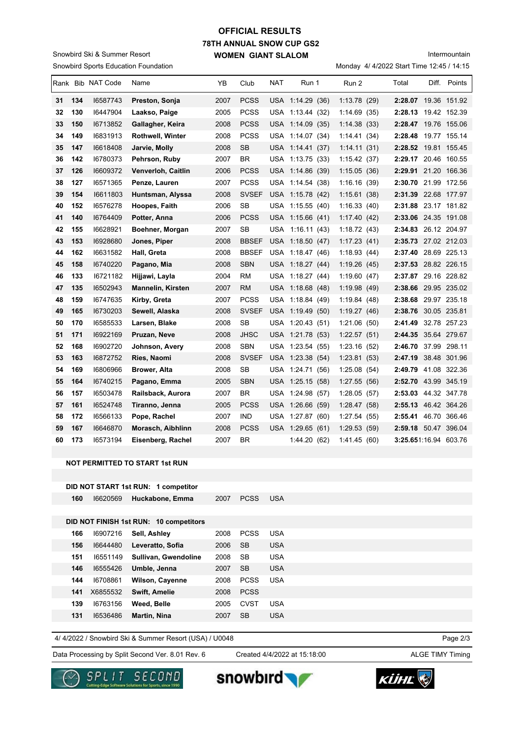### **78TH ANNUAL SNOW CUP GS2 WOMEN GIANT SLALOM OFFICIAL RESULTS**

Snowbird Sports Education Foundation Snowbird Ski & Summer Resort

| Intermountain |
|---------------|
|---------------|

Monday 4/ 4/2022 Start Time 12:45 / 14:15

|    |     | Rank Bib NAT Code | Name                      | YB   | Club         | NAT | Run 1            | Run 2        | Total                         | Diff. | Points       |
|----|-----|-------------------|---------------------------|------|--------------|-----|------------------|--------------|-------------------------------|-------|--------------|
| 31 | 134 | 16587743          | Preston, Sonja            | 2007 | <b>PCSS</b>  |     | USA 1:14.29 (36) | 1:13.78(29)  | 2:28.07 19.36 151.92          |       |              |
| 32 | 130 | 16447904          | Laakso, Paige             | 2005 | <b>PCSS</b>  |     | USA 1:13.44 (32) | 1:14.69(35)  | 2:28.13 19.42 152.39          |       |              |
| 33 | 150 | 16713852          | Gallagher, Keira          | 2008 | <b>PCSS</b>  |     | USA 1:14.09 (35) | 1:14.38(33)  | 2:28.47 19.76 155.06          |       |              |
| 34 | 149 | 16831913          | <b>Rothwell, Winter</b>   | 2008 | <b>PCSS</b>  | USA | 1:14.07 (34)     | 1:14.41(34)  | 2:28.48                       |       | 19.77 155.14 |
| 35 | 147 | 16618408          | Jarvie, Molly             | 2008 | <b>SB</b>    |     | USA 1:14.41 (37) | 1:14.11(31)  | 2:28.52 19.81 155.45          |       |              |
| 36 | 142 | 16780373          | Pehrson, Ruby             | 2007 | <b>BR</b>    |     | USA 1:13.75 (33) | 1:15.42(37)  | 2:29.17 20.46 160.55          |       |              |
| 37 | 126 | 16609372          | <b>Venverloh, Caitlin</b> | 2006 | PCSS         |     | USA 1:14.86 (39) | 1:15.05(36)  | 2:29.91 21.20 166.36          |       |              |
| 38 | 127 | 16571365          | Penze, Lauren             | 2007 | <b>PCSS</b>  |     | USA 1:14.54 (38) | 1:16.16(39)  | 2:30.70 21.99 172.56          |       |              |
| 39 | 154 | 16611803          | Huntsman, Alyssa          | 2008 | <b>SVSEF</b> |     | USA 1:15.78 (42) | 1:15.61(38)  | 2:31.39 22.68 177.97          |       |              |
| 40 | 152 | 16576278          | Hoopes, Faith             | 2006 | SB           |     | USA 1:15.55 (40) | 1:16.33(40)  | 2:31.88 23.17 181.82          |       |              |
| 41 | 140 | 16764409          | Potter, Anna              | 2006 | <b>PCSS</b>  |     | USA 1:15.66 (41) | 1:17.40(42)  | 2:33.06 24.35 191.08          |       |              |
| 42 | 155 | 16628921          | Boehner, Morgan           | 2007 | <b>SB</b>    |     | USA 1:16.11 (43) | 1:18.72(43)  | 2:34.83 26.12 204.97          |       |              |
| 43 | 153 | 16928680          | Jones, Piper              | 2008 | <b>BBSEF</b> |     | USA 1:18.50 (47) | 1:17.23(41)  | 2:35.73 27.02 212.03          |       |              |
| 44 | 162 | 16631582          | Hall, Greta               | 2008 | <b>BBSEF</b> |     | USA 1:18.47 (46) | 1:18.93(44)  | 2:37.40 28.69 225.13          |       |              |
| 45 | 158 | 16740220          | Pagano, Mia               | 2008 | <b>SBN</b>   |     | USA 1:18.27 (44) | 1:19.26(45)  | 2:37.53 28.82 226.15          |       |              |
| 46 | 133 | 16721182          | Hijjawi, Layla            | 2004 | RM           |     | USA 1:18.27 (44) | 1:19.60(47)  | 2:37.87 29.16 228.82          |       |              |
| 47 | 135 | 16502943          | <b>Mannelin, Kirsten</b>  | 2007 | <b>RM</b>    |     | USA 1:18.68 (48) | 1:19.98(49)  | 2:38.66 29.95 235.02          |       |              |
| 48 | 159 | 16747635          | Kirby, Greta              | 2007 | PCSS         |     | USA 1:18.84 (49) | 1:19.84(48)  | 2:38.68 29.97 235.18          |       |              |
| 49 | 165 | 16730203          | Sewell, Alaska            | 2008 | <b>SVSEF</b> |     | USA 1:19.49 (50) | 1:19.27(46)  | 2:38.76 30.05 235.81          |       |              |
| 50 | 170 | 16585533          | Larsen, Blake             | 2008 | <b>SB</b>    |     | USA 1:20.43 (51) | 1:21.06(50)  | 2:41.49                       |       | 32.78 257.23 |
| 51 | 171 | 16922169          | Pruzan, Neve              | 2008 | <b>JHSC</b>  |     | USA 1:21.78 (53) | 1:22.57(51)  | 2:44.35 35.64 279.67          |       |              |
| 52 | 168 | 16902720          | Johnson, Avery            | 2008 | <b>SBN</b>   | USA | 1:23.54 (55)     | 1:23.16(52)  | 2:46.70 37.99 298.11          |       |              |
| 53 | 163 | 16872752          | Ries, Naomi               | 2008 | <b>SVSEF</b> |     | USA 1:23.38 (54) | 1:23.81(53)  | 2:47.19 38.48 301.96          |       |              |
| 54 | 169 | 16806966          | Brower, Alta              | 2008 | <b>SB</b>    |     | USA 1:24.71 (56) | 1:25.08(54)  | 2:49.79 41.08 322.36          |       |              |
| 55 | 164 | 16740215          | Pagano, Emma              | 2005 | <b>SBN</b>   |     | USA 1:25.15 (58) | 1:27.55(56)  | 2:52.70 43.99 345.19          |       |              |
| 56 | 157 | 16503478          | Railsback, Aurora         | 2007 | BR           |     | USA 1:24.98 (57) | 1:28.05(57)  | 2:53.03 44.32 347.78          |       |              |
| 57 | 161 | 16524748          | Tiranno, Jenna            | 2005 | <b>PCSS</b>  |     | USA 1:26.66 (59) | 1:28.47(58)  | 2:55.13 46.42 364.26          |       |              |
| 58 | 172 | 16566133          | Pope, Rachel              | 2007 | <b>IND</b>   |     | USA 1:27.87 (60) | 1:27.54(55)  | 2:55.41 46.70 366.46          |       |              |
| 59 | 167 | 16646870          | Morasch, Aibhlinn         | 2008 | PCSS         |     | USA 1:29.65 (61) | 1:29.53(59)  | 2:59.18 50.47 396.04          |       |              |
| 60 | 173 | 16573194          | Eisenberg, Rachel         | 2007 | <b>BR</b>    |     | 1:44.20 (62)     | 1:41.45 (60) | <b>3:25.65</b> 1:16.94 603.76 |       |              |
|    |     |                   |                           |      |              |     |                  |              |                               |       |              |

#### **NOT PERMITTED TO START 1st RUN**

|     |          | DID NOT START 1st RUN: 1 competitor    |      |             |     |  |
|-----|----------|----------------------------------------|------|-------------|-----|--|
| 160 | 16620569 | Huckabone, Emma                        | 2007 | <b>PCSS</b> | USA |  |
|     |          |                                        |      |             |     |  |
|     |          | DID NOT FINISH 1st RUN: 10 competitors |      |             |     |  |
| 166 | 16907216 | Sell, Ashley                           | 2008 | <b>PCSS</b> | USA |  |
| 156 | 16644480 | Leveratto, Sofia                       | 2006 | SB          | USA |  |

| 151 | 16551149            | Sullivan, Gwendoline | 2008 | -SB         | USA        |
|-----|---------------------|----------------------|------|-------------|------------|
| 146 | 16555426            | Umble, Jenna         | 2007 | <b>SB</b>   | <b>USA</b> |
| 144 | 16708861            | Wilson, Cayenne      | 2008 | <b>PCSS</b> | <b>USA</b> |
|     | <b>141</b> X6855532 | <b>Swift, Amelie</b> | 2008 | <b>PCSS</b> |            |
| 139 | 16763156            | Weed, Belle          | 2005 | CVST        | <b>USA</b> |
| 131 | 16536486            | Martin, Nina         | 2007 | <b>SB</b>   | <b>USA</b> |
|     |                     |                      |      |             |            |

4/ 4/2022 / Snowbird Ski & Summer Resort (USA) / U0048

Data Processing by Split Second Ver. 8.01 Rev. 6 Created 4/4/2022 at 15:18:00 ALGE TIMY Timing

Created 4/4/2022 at 15:18:00

Page 2/3